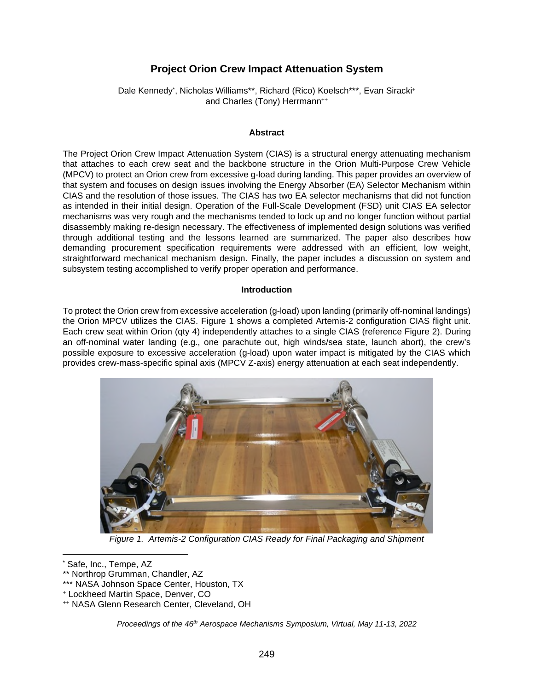# **Project Orion Crew Impact Attenuation System**

Dale Kennedy[\\*](#page-0-0), Nicholas Williams\*\*, Richard (Rico) Koelsch\*\*\*, Evan Siracki+ and Charles (Tony) Herrmann<sup>++</sup>

#### **Abstract**

The Project Orion Crew Impact Attenuation System (CIAS) is a structural energy attenuating mechanism that attaches to each crew seat and the backbone structure in the Orion Multi-Purpose Crew Vehicle (MPCV) to protect an Orion crew from excessive g-load during landing. This paper provides an overview of that system and focuses on design issues involving the Energy Absorber (EA) Selector Mechanism within CIAS and the resolution of those issues. The CIAS has two EA selector mechanisms that did not function as intended in their initial design. Operation of the Full-Scale Development (FSD) unit CIAS EA selector mechanisms was very rough and the mechanisms tended to lock up and no longer function without partial disassembly making re-design necessary. The effectiveness of implemented design solutions was verified through additional testing and the lessons learned are summarized. The paper also describes how demanding procurement specification requirements were addressed with an efficient, low weight, straightforward mechanical mechanism design. Finally, the paper includes a discussion on system and subsystem testing accomplished to verify proper operation and performance.

#### **Introduction**

To protect the Orion crew from excessive acceleration (g-load) upon landing (primarily off-nominal landings) the Orion MPCV utilizes the CIAS. Figure 1 shows a completed Artemis-2 configuration CIAS flight unit. Each crew seat within Orion (qty 4) independently attaches to a single CIAS (reference Figure 2). During an off-nominal water landing (e.g., one parachute out, high winds/sea state, launch abort), the crew's possible exposure to excessive acceleration (g-load) upon water impact is mitigated by the CIAS which provides crew-mass-specific spinal axis (MPCV Z-axis) energy attenuation at each seat independently.



*Figure 1. Artemis-2 Configuration CIAS Ready for Final Packaging and Shipment*

*Proceedings of the 46th Aerospace Mechanisms Symposium, Virtual, May 11-13, 2022* 

<span id="page-0-0"></span><sup>\*</sup> Safe, Inc., Tempe, AZ

<sup>\*\*</sup> Northrop Grumman, Chandler, AZ

<sup>\*\*\*</sup> NASA Johnson Space Center, Houston, TX

<sup>+</sup> Lockheed Martin Space, Denver, CO

<sup>++</sup> NASA Glenn Research Center, Cleveland, OH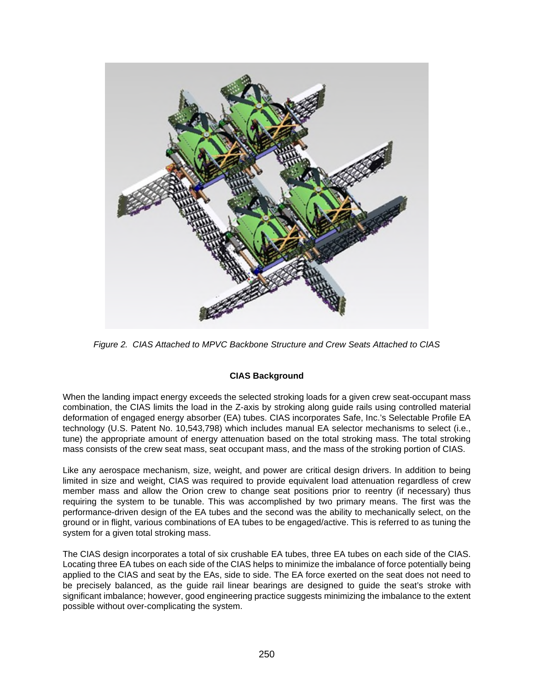

*Figure 2. CIAS Attached to MPVC Backbone Structure and Crew Seats Attached to CIAS* 

# **CIAS Background**

When the landing impact energy exceeds the selected stroking loads for a given crew seat-occupant mass combination, the CIAS limits the load in the Z-axis by stroking along guide rails using controlled material deformation of engaged energy absorber (EA) tubes. CIAS incorporates Safe, Inc.'s Selectable Profile EA technology (U.S. Patent No. 10,543,798) which includes manual EA selector mechanisms to select (i.e., tune) the appropriate amount of energy attenuation based on the total stroking mass. The total stroking mass consists of the crew seat mass, seat occupant mass, and the mass of the stroking portion of CIAS.

Like any aerospace mechanism, size, weight, and power are critical design drivers. In addition to being limited in size and weight, CIAS was required to provide equivalent load attenuation regardless of crew member mass and allow the Orion crew to change seat positions prior to reentry (if necessary) thus requiring the system to be tunable. This was accomplished by two primary means. The first was the performance-driven design of the EA tubes and the second was the ability to mechanically select, on the ground or in flight, various combinations of EA tubes to be engaged/active. This is referred to as tuning the system for a given total stroking mass.

The CIAS design incorporates a total of six crushable EA tubes, three EA tubes on each side of the CIAS. Locating three EA tubes on each side of the CIAS helps to minimize the imbalance of force potentially being applied to the CIAS and seat by the EAs, side to side. The EA force exerted on the seat does not need to be precisely balanced, as the guide rail linear bearings are designed to guide the seat's stroke with significant imbalance; however, good engineering practice suggests minimizing the imbalance to the extent possible without over-complicating the system.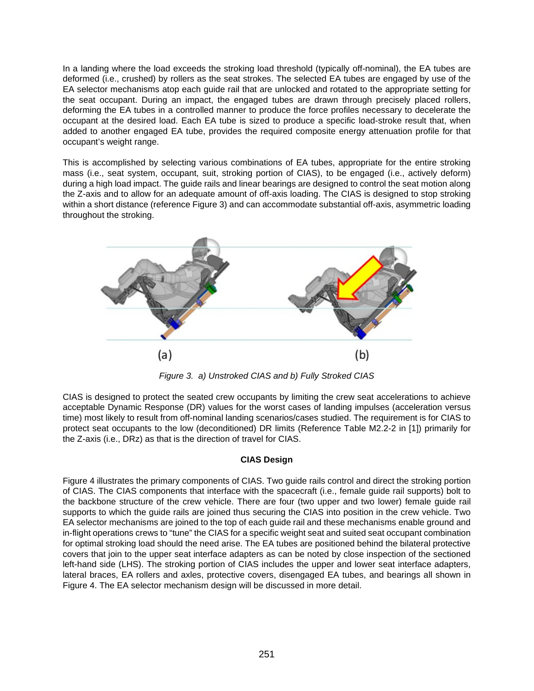In a landing where the load exceeds the stroking load threshold (typically off-nominal), the EA tubes are deformed (i.e., crushed) by rollers as the seat strokes. The selected EA tubes are engaged by use of the EA selector mechanisms atop each guide rail that are unlocked and rotated to the appropriate setting for the seat occupant. During an impact, the engaged tubes are drawn through precisely placed rollers, deforming the EA tubes in a controlled manner to produce the force profiles necessary to decelerate the occupant at the desired load. Each EA tube is sized to produce a specific load-stroke result that, when added to another engaged EA tube, provides the required composite energy attenuation profile for that occupant's weight range.

This is accomplished by selecting various combinations of EA tubes, appropriate for the entire stroking mass (i.e., seat system, occupant, suit, stroking portion of CIAS), to be engaged (i.e., actively deform) during a high load impact. The guide rails and linear bearings are designed to control the seat motion along the Z-axis and to allow for an adequate amount of off-axis loading. The CIAS is designed to stop stroking within a short distance (reference Figure 3) and can accommodate substantial off-axis, asymmetric loading throughout the stroking.



*Figure 3. a) Unstroked CIAS and b) Fully Stroked CIAS* 

CIAS is designed to protect the seated crew occupants by limiting the crew seat accelerations to achieve acceptable Dynamic Response (DR) values for the worst cases of landing impulses (acceleration versus time) most likely to result from off-nominal landing scenarios/cases studied. The requirement is for CIAS to protect seat occupants to the low (deconditioned) DR limits (Reference Table M2.2-2 in [1]) primarily for the Z-axis (i.e., DRz) as that is the direction of travel for CIAS.

# **CIAS Design**

Figure 4 illustrates the primary components of CIAS. Two guide rails control and direct the stroking portion of CIAS. The CIAS components that interface with the spacecraft (i.e., female guide rail supports) bolt to the backbone structure of the crew vehicle. There are four (two upper and two lower) female guide rail supports to which the guide rails are joined thus securing the CIAS into position in the crew vehicle. Two EA selector mechanisms are joined to the top of each guide rail and these mechanisms enable ground and in-flight operations crews to "tune" the CIAS for a specific weight seat and suited seat occupant combination for optimal stroking load should the need arise. The EA tubes are positioned behind the bilateral protective covers that join to the upper seat interface adapters as can be noted by close inspection of the sectioned left-hand side (LHS). The stroking portion of CIAS includes the upper and lower seat interface adapters, lateral braces, EA rollers and axles, protective covers, disengaged EA tubes, and bearings all shown in Figure 4. The EA selector mechanism design will be discussed in more detail.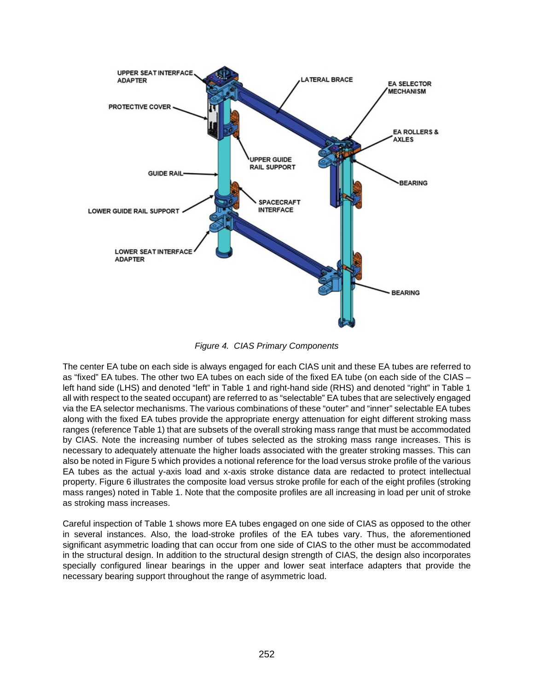

*Figure 4. CIAS Primary Components* 

The center EA tube on each side is always engaged for each CIAS unit and these EA tubes are referred to as "fixed" EA tubes. The other two EA tubes on each side of the fixed EA tube (on each side of the CIAS – left hand side (LHS) and denoted "left" in Table 1 and right-hand side (RHS) and denoted "right" in Table 1 all with respect to the seated occupant) are referred to as "selectable" EA tubes that are selectively engaged via the EA selector mechanisms. The various combinations of these "outer" and "inner" selectable EA tubes along with the fixed EA tubes provide the appropriate energy attenuation for eight different stroking mass ranges (reference Table 1) that are subsets of the overall stroking mass range that must be accommodated by CIAS. Note the increasing number of tubes selected as the stroking mass range increases. This is necessary to adequately attenuate the higher loads associated with the greater stroking masses. This can also be noted in Figure 5 which provides a notional reference for the load versus stroke profile of the various EA tubes as the actual y-axis load and x-axis stroke distance data are redacted to protect intellectual property. Figure 6 illustrates the composite load versus stroke profile for each of the eight profiles (stroking mass ranges) noted in Table 1. Note that the composite profiles are all increasing in load per unit of stroke as stroking mass increases.

Careful inspection of Table 1 shows more EA tubes engaged on one side of CIAS as opposed to the other in several instances. Also, the load-stroke profiles of the EA tubes vary. Thus, the aforementioned significant asymmetric loading that can occur from one side of CIAS to the other must be accommodated in the structural design. In addition to the structural design strength of CIAS, the design also incorporates specially configured linear bearings in the upper and lower seat interface adapters that provide the necessary bearing support throughout the range of asymmetric load.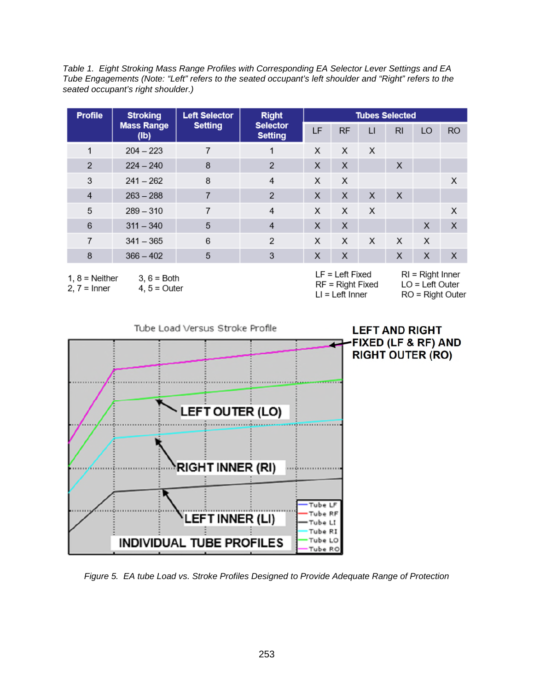*Table 1. Eight Stroking Mass Range Profiles with Corresponding EA Selector Lever Settings and EA Tube Engagements (Note: "Left" refers to the seated occupant's left shoulder and "Right" refers to the seated occupant's right shoulder.)* 

| <b>Profile</b> | <b>Stroking</b>           | <b>Left Selector</b> | <b>Right</b><br><b>Selector</b><br><b>Setting</b> | <b>Tubes Selected</b> |           |              |                |    |           |
|----------------|---------------------------|----------------------|---------------------------------------------------|-----------------------|-----------|--------------|----------------|----|-----------|
|                | <b>Mass Range</b><br>(Ib) | <b>Setting</b>       |                                                   | LF                    | <b>RF</b> | $\mathsf{L}$ | R <sub>l</sub> | LO | <b>RO</b> |
| 1              | $204 - 223$               | 7                    | 1                                                 | X                     | X         | X            |                |    |           |
| $\overline{2}$ | $224 - 240$               | 8                    | $\overline{2}$                                    | X                     | X         |              | X              |    |           |
| 3              | $241 - 262$               | 8                    | 4                                                 | X                     | X         |              |                |    | X         |
| $\overline{4}$ | $263 - 288$               | 7                    | $\overline{2}$                                    | X                     | X         | X            | X              |    |           |
| 5              | $289 - 310$               | 7                    | 4                                                 | X                     | X         | X            |                |    | X         |
| 6              | $311 - 340$               | 5                    | $\overline{4}$                                    | X                     | X         |              |                | X  | X         |
| 7              | $341 - 365$               | 6                    | $\overline{2}$                                    | X                     | X         | X            | X              | X  |           |
| 8              | $366 - 402$               | 5                    | 3                                                 | X                     | X         |              | X              | X  | X         |

 $1, 8 =$  Neither

 $3, 6 =$  Both

 $2, 7 =$  Inner

 $4, 5 =$  Outer

| $LF = Left Fixed$  |
|--------------------|
| $RF = Right Fixed$ |
| $LI = Left Inner$  |

 $RI = Right Inner$  $LO = Left Outer$  $RO = Right Outer$ 



*Figure 5. EA tube Load vs. Stroke Profiles Designed to Provide Adequate Range of Protection*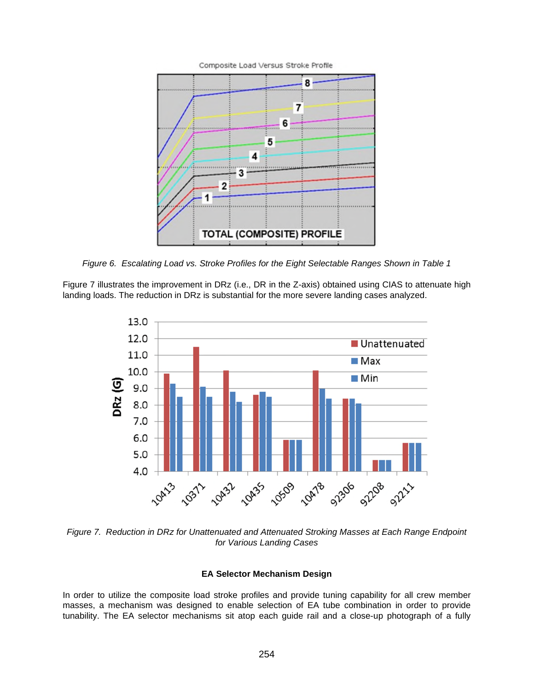

*Figure 6. Escalating Load vs. Stroke Profiles for the Eight Selectable Ranges Shown in Table 1* 

Figure 7 illustrates the improvement in DRz (i.e., DR in the Z-axis) obtained using CIAS to attenuate high landing loads. The reduction in DRz is substantial for the more severe landing cases analyzed.



*Figure 7. Reduction in DRz for Unattenuated and Attenuated Stroking Masses at Each Range Endpoint for Various Landing Cases* 

## **EA Selector Mechanism Design**

In order to utilize the composite load stroke profiles and provide tuning capability for all crew member masses, a mechanism was designed to enable selection of EA tube combination in order to provide tunability. The EA selector mechanisms sit atop each guide rail and a close-up photograph of a fully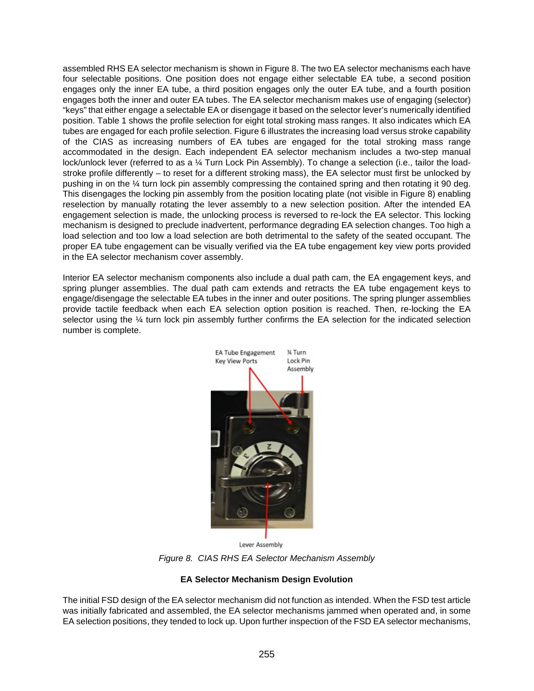assembled RHS EA selector mechanism is shown in Figure 8. The two EA selector mechanisms each have four selectable positions. One position does not engage either selectable EA tube, a second position engages only the inner EA tube, a third position engages only the outer EA tube, and a fourth position engages both the inner and outer EA tubes. The EA selector mechanism makes use of engaging (selector) "keys" that either engage a selectable EA or disengage it based on the selector lever's numerically identified position. Table 1 shows the profile selection for eight total stroking mass ranges. It also indicates which EA tubes are engaged for each profile selection. Figure 6 illustrates the increasing load versus stroke capability of the CIAS as increasing numbers of EA tubes are engaged for the total stroking mass range accommodated in the design. Each independent EA selector mechanism includes a two-step manual lock/unlock lever (referred to as a ¼ Turn Lock Pin Assembly). To change a selection (i.e., tailor the loadstroke profile differently – to reset for a different stroking mass), the EA selector must first be unlocked by pushing in on the ¼ turn lock pin assembly compressing the contained spring and then rotating it 90 deg. This disengages the locking pin assembly from the position locating plate (not visible in Figure 8) enabling reselection by manually rotating the lever assembly to a new selection position. After the intended EA engagement selection is made, the unlocking process is reversed to re-lock the EA selector. This locking mechanism is designed to preclude inadvertent, performance degrading EA selection changes. Too high a load selection and too low a load selection are both detrimental to the safety of the seated occupant. The proper EA tube engagement can be visually verified via the EA tube engagement key view ports provided in the EA selector mechanism cover assembly.

Interior EA selector mechanism components also include a dual path cam, the EA engagement keys, and spring plunger assemblies. The dual path cam extends and retracts the EA tube engagement keys to engage/disengage the selectable EA tubes in the inner and outer positions. The spring plunger assemblies provide tactile feedback when each EA selection option position is reached. Then, re-locking the EA selector using the ¼ turn lock pin assembly further confirms the EA selection for the indicated selection number is complete.



Lever Assembly

*Figure 8. CIAS RHS EA Selector Mechanism Assembly* 

# **EA Selector Mechanism Design Evolution**

The initial FSD design of the EA selector mechanism did not function as intended. When the FSD test article was initially fabricated and assembled, the EA selector mechanisms jammed when operated and, in some EA selection positions, they tended to lock up. Upon further inspection of the FSD EA selector mechanisms,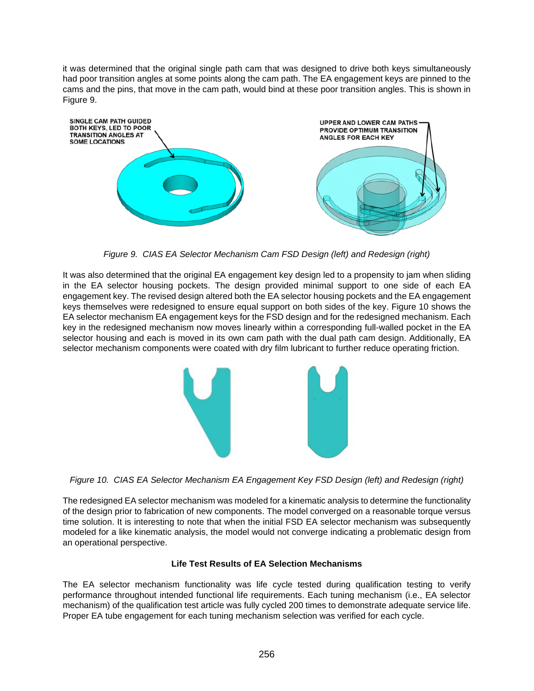it was determined that the original single path cam that was designed to drive both keys simultaneously had poor transition angles at some points along the cam path. The EA engagement keys are pinned to the cams and the pins, that move in the cam path, would bind at these poor transition angles. This is shown in Figure 9.



*Figure 9. CIAS EA Selector Mechanism Cam FSD Design (left) and Redesign (right)* 

It was also determined that the original EA engagement key design led to a propensity to jam when sliding in the EA selector housing pockets. The design provided minimal support to one side of each EA engagement key. The revised design altered both the EA selector housing pockets and the EA engagement keys themselves were redesigned to ensure equal support on both sides of the key. Figure 10 shows the EA selector mechanism EA engagement keys for the FSD design and for the redesigned mechanism. Each key in the redesigned mechanism now moves linearly within a corresponding full-walled pocket in the EA selector housing and each is moved in its own cam path with the dual path cam design. Additionally, EA selector mechanism components were coated with dry film lubricant to further reduce operating friction.



*Figure 10. CIAS EA Selector Mechanism EA Engagement Key FSD Design (left) and Redesign (right)* 

The redesigned EA selector mechanism was modeled for a kinematic analysis to determine the functionality of the design prior to fabrication of new components. The model converged on a reasonable torque versus time solution. It is interesting to note that when the initial FSD EA selector mechanism was subsequently modeled for a like kinematic analysis, the model would not converge indicating a problematic design from an operational perspective.

# **Life Test Results of EA Selection Mechanisms**

The EA selector mechanism functionality was life cycle tested during qualification testing to verify performance throughout intended functional life requirements. Each tuning mechanism (i.e., EA selector mechanism) of the qualification test article was fully cycled 200 times to demonstrate adequate service life. Proper EA tube engagement for each tuning mechanism selection was verified for each cycle.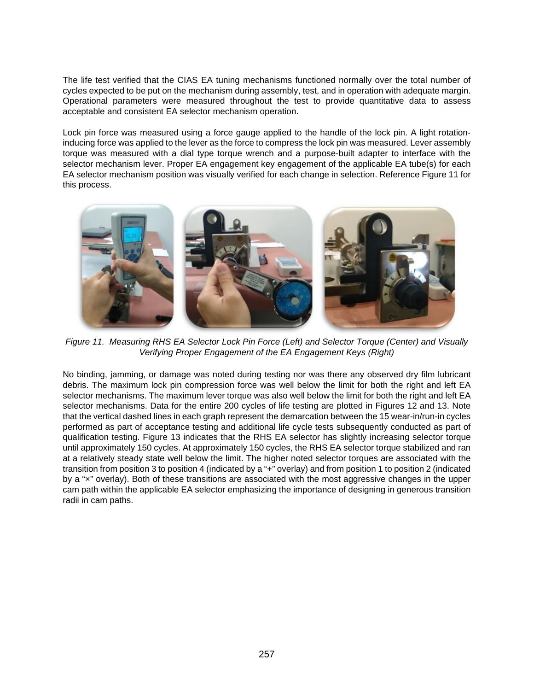The life test verified that the CIAS EA tuning mechanisms functioned normally over the total number of cycles expected to be put on the mechanism during assembly, test, and in operation with adequate margin. Operational parameters were measured throughout the test to provide quantitative data to assess acceptable and consistent EA selector mechanism operation.

Lock pin force was measured using a force gauge applied to the handle of the lock pin. A light rotationinducing force was applied to the lever as the force to compress the lock pin was measured. Lever assembly torque was measured with a dial type torque wrench and a purpose-built adapter to interface with the selector mechanism lever. Proper EA engagement key engagement of the applicable EA tube(s) for each EA selector mechanism position was visually verified for each change in selection. Reference Figure 11 for this process.



*Figure 11. Measuring RHS EA Selector Lock Pin Force (Left) and Selector Torque (Center) and Visually Verifying Proper Engagement of the EA Engagement Keys (Right)*

No binding, jamming, or damage was noted during testing nor was there any observed dry film lubricant debris. The maximum lock pin compression force was well below the limit for both the right and left EA selector mechanisms. The maximum lever torque was also well below the limit for both the right and left EA selector mechanisms. Data for the entire 200 cycles of life testing are plotted in Figures 12 and 13. Note that the vertical dashed lines in each graph represent the demarcation between the 15 wear-in/run-in cycles performed as part of acceptance testing and additional life cycle tests subsequently conducted as part of qualification testing. Figure 13 indicates that the RHS EA selector has slightly increasing selector torque until approximately 150 cycles. At approximately 150 cycles, the RHS EA selector torque stabilized and ran at a relatively steady state well below the limit. The higher noted selector torques are associated with the transition from position 3 to position 4 (indicated by a "+" overlay) and from position 1 to position 2 (indicated by a "×" overlay). Both of these transitions are associated with the most aggressive changes in the upper cam path within the applicable EA selector emphasizing the importance of designing in generous transition radii in cam paths.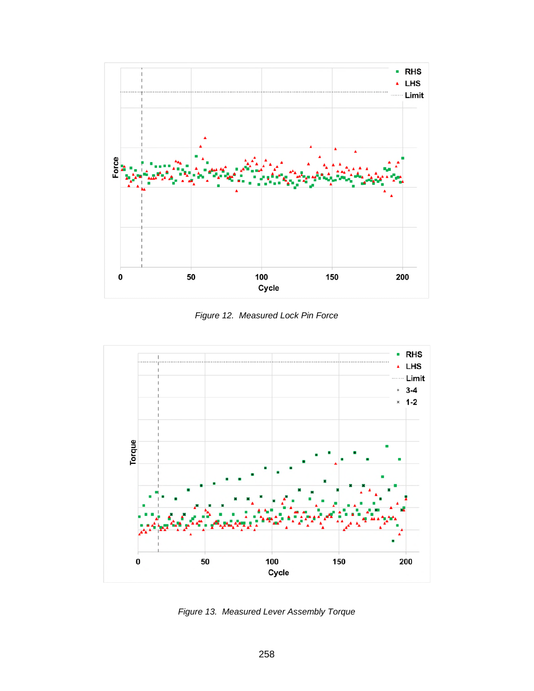

*Figure 12. Measured Lock Pin Force* 



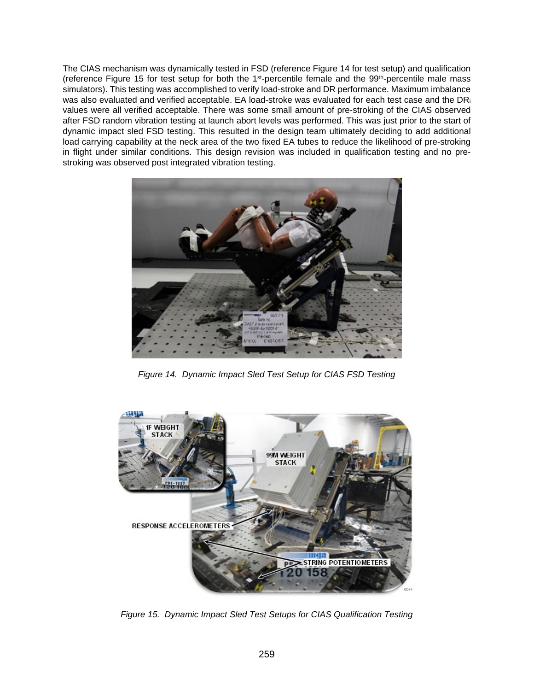The CIAS mechanism was dynamically tested in FSD (reference Figure 14 for test setup) and qualification (reference Figure 15 for test setup for both the 1st-percentile female and the 99th-percentile male mass simulators). This testing was accomplished to verify load-stroke and DR performance. Maximum imbalance was also evaluated and verified acceptable. EA load-stroke was evaluated for each test case and the DR<sub>i</sub> values were all verified acceptable. There was some small amount of pre-stroking of the CIAS observed after FSD random vibration testing at launch abort levels was performed. This was just prior to the start of dynamic impact sled FSD testing. This resulted in the design team ultimately deciding to add additional load carrying capability at the neck area of the two fixed EA tubes to reduce the likelihood of pre-stroking in flight under similar conditions. This design revision was included in qualification testing and no prestroking was observed post integrated vibration testing.



*Figure 14. Dynamic Impact Sled Test Setup for CIAS FSD Testing* 



*Figure 15. Dynamic Impact Sled Test Setups for CIAS Qualification Testing*